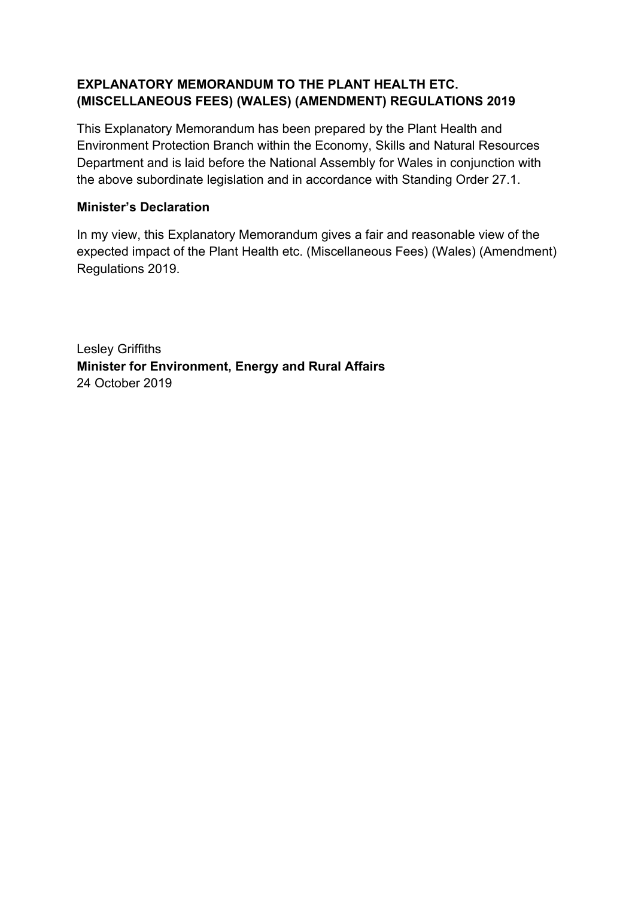## **EXPLANATORY MEMORANDUM TO THE PLANT HEALTH ETC. (MISCELLANEOUS FEES) (WALES) (AMENDMENT) REGULATIONS 2019**

This Explanatory Memorandum has been prepared by the Plant Health and Environment Protection Branch within the Economy, Skills and Natural Resources Department and is laid before the National Assembly for Wales in conjunction with the above subordinate legislation and in accordance with Standing Order 27.1.

## **Minister's Declaration**

In my view, this Explanatory Memorandum gives a fair and reasonable view of the expected impact of the Plant Health etc. (Miscellaneous Fees) (Wales) (Amendment) Regulations 2019.

Lesley Griffiths **Minister for Environment, Energy and Rural Affairs** 24 October 2019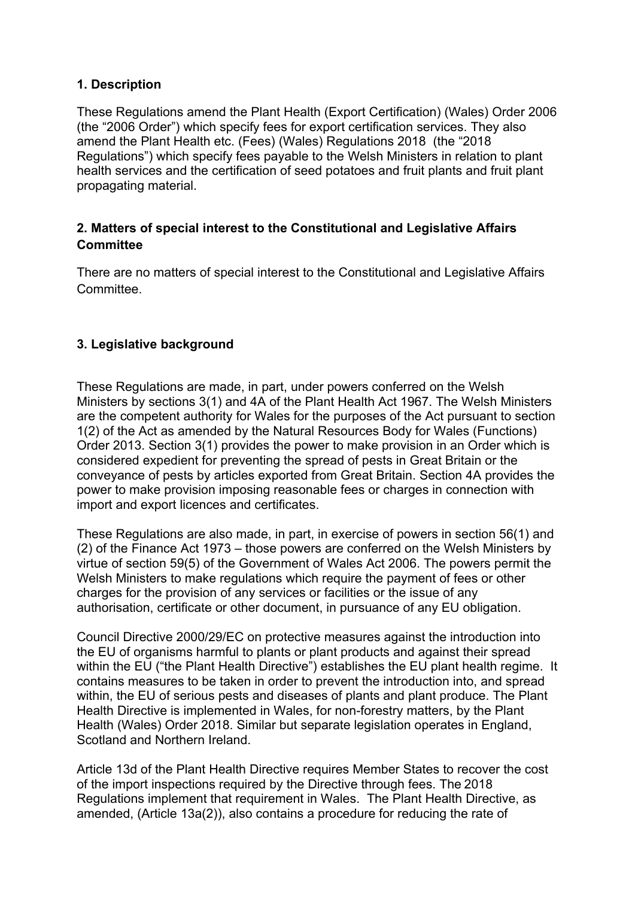## **1. Description**

These Regulations amend the Plant Health (Export Certification) (Wales) Order 2006 (the "2006 Order") which specify fees for export certification services. They also amend the Plant Health etc. (Fees) (Wales) Regulations 2018 (the "2018 Regulations") which specify fees payable to the Welsh Ministers in relation to plant health services and the certification of seed potatoes and fruit plants and fruit plant propagating material.

# **2. Matters of special interest to the Constitutional and Legislative Affairs Committee**

There are no matters of special interest to the Constitutional and Legislative Affairs **Committee.** 

# **3. Legislative background**

These Regulations are made, in part, under powers conferred on the Welsh Ministers by sections 3(1) and 4A of the Plant Health Act 1967. The Welsh Ministers are the competent authority for Wales for the purposes of the Act pursuant to section 1(2) of the Act as amended by the Natural Resources Body for Wales (Functions) Order 2013. Section 3(1) provides the power to make provision in an Order which is considered expedient for preventing the spread of pests in Great Britain or the conveyance of pests by articles exported from Great Britain. Section 4A provides the power to make provision imposing reasonable fees or charges in connection with import and export licences and certificates.

These Regulations are also made, in part, in exercise of powers in section 56(1) and (2) of the Finance Act 1973 – those powers are conferred on the Welsh Ministers by virtue of section 59(5) of the Government of Wales Act 2006. The powers permit the Welsh Ministers to make regulations which require the payment of fees or other charges for the provision of any services or facilities or the issue of any authorisation, certificate or other document, in pursuance of any EU obligation.

Council Directive 2000/29/EC on protective measures against the introduction into the EU of organisms harmful to plants or plant products and against their spread within the EU ("the Plant Health Directive") establishes the EU plant health regime. It contains measures to be taken in order to prevent the introduction into, and spread within, the EU of serious pests and diseases of plants and plant produce. The Plant Health Directive is implemented in Wales, for non-forestry matters, by the Plant Health (Wales) Order 2018. Similar but separate legislation operates in England, Scotland and Northern Ireland.

Article 13d of the Plant Health Directive requires Member States to recover the cost of the import inspections required by the Directive through fees. The 2018 Regulations implement that requirement in Wales. The Plant Health Directive, as amended, (Article 13a(2)), also contains a procedure for reducing the rate of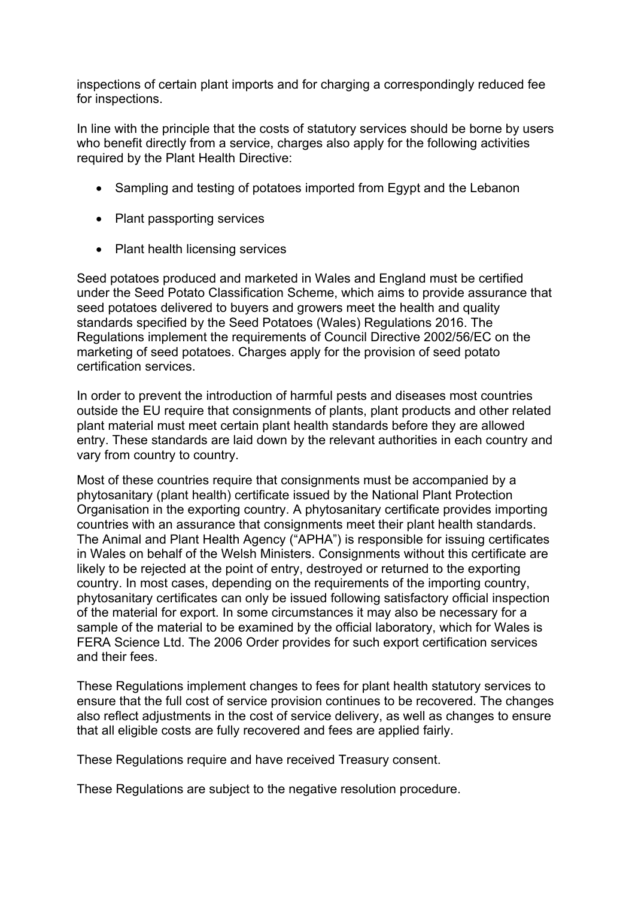inspections of certain plant imports and for charging a correspondingly reduced fee for inspections.

In line with the principle that the costs of statutory services should be borne by users who benefit directly from a service, charges also apply for the following activities required by the Plant Health Directive:

- Sampling and testing of potatoes imported from Egypt and the Lebanon
- Plant passporting services
- Plant health licensing services

Seed potatoes produced and marketed in Wales and England must be certified under the Seed Potato Classification Scheme, which aims to provide assurance that seed potatoes delivered to buyers and growers meet the health and quality standards specified by the Seed Potatoes (Wales) Regulations 2016. The Regulations implement the requirements of Council Directive 2002/56/EC on the marketing of seed potatoes. Charges apply for the provision of seed potato certification services.

In order to prevent the introduction of harmful pests and diseases most countries outside the EU require that consignments of plants, plant products and other related plant material must meet certain plant health standards before they are allowed entry. These standards are laid down by the relevant authorities in each country and vary from country to country.

Most of these countries require that consignments must be accompanied by a phytosanitary (plant health) certificate issued by the National Plant Protection Organisation in the exporting country. A phytosanitary certificate provides importing countries with an assurance that consignments meet their plant health standards. The Animal and Plant Health Agency ("APHA") is responsible for issuing certificates in Wales on behalf of the Welsh Ministers. Consignments without this certificate are likely to be rejected at the point of entry, destroyed or returned to the exporting country. In most cases, depending on the requirements of the importing country, phytosanitary certificates can only be issued following satisfactory official inspection of the material for export. In some circumstances it may also be necessary for a sample of the material to be examined by the official laboratory, which for Wales is FERA Science Ltd. The 2006 Order provides for such export certification services and their fees.

These Regulations implement changes to fees for plant health statutory services to ensure that the full cost of service provision continues to be recovered. The changes also reflect adjustments in the cost of service delivery, as well as changes to ensure that all eligible costs are fully recovered and fees are applied fairly.

These Regulations require and have received Treasury consent.

These Regulations are subject to the negative resolution procedure.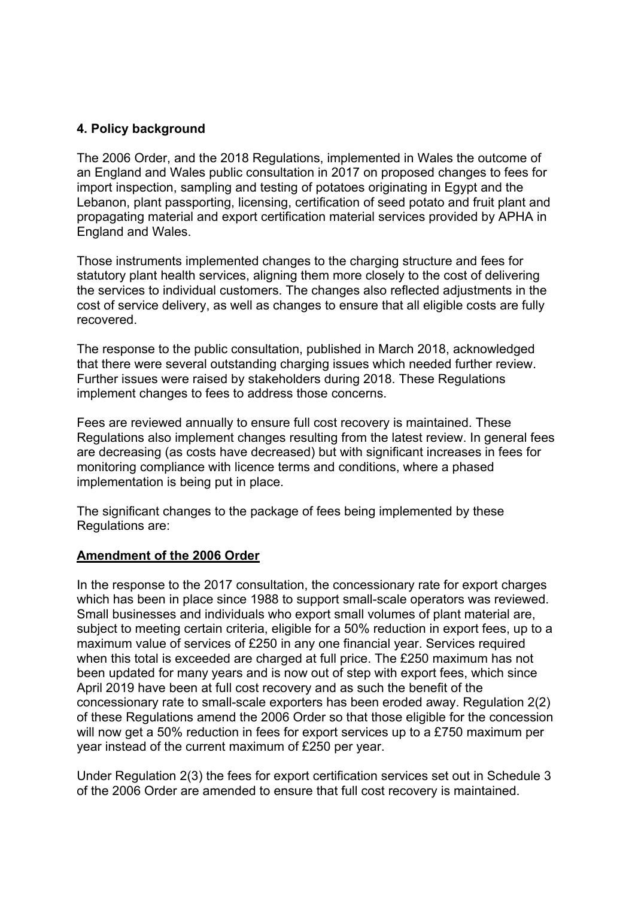## **4. Policy background**

The 2006 Order, and the 2018 Regulations, implemented in Wales the outcome of an England and Wales public consultation in 2017 on proposed changes to fees for import inspection, sampling and testing of potatoes originating in Egypt and the Lebanon, plant passporting, licensing, certification of seed potato and fruit plant and propagating material and export certification material services provided by APHA in England and Wales.

Those instruments implemented changes to the charging structure and fees for statutory plant health services, aligning them more closely to the cost of delivering the services to individual customers. The changes also reflected adjustments in the cost of service delivery, as well as changes to ensure that all eligible costs are fully recovered.

The response to the public consultation, published in March 2018, acknowledged that there were several outstanding charging issues which needed further review. Further issues were raised by stakeholders during 2018. These Regulations implement changes to fees to address those concerns.

Fees are reviewed annually to ensure full cost recovery is maintained. These Regulations also implement changes resulting from the latest review. In general fees are decreasing (as costs have decreased) but with significant increases in fees for monitoring compliance with licence terms and conditions, where a phased implementation is being put in place.

The significant changes to the package of fees being implemented by these Regulations are:

### **Amendment of the 2006 Order**

In the response to the 2017 consultation, the concessionary rate for export charges which has been in place since 1988 to support small-scale operators was reviewed. Small businesses and individuals who export small volumes of plant material are, subject to meeting certain criteria, eligible for a 50% reduction in export fees, up to a maximum value of services of £250 in any one financial year. Services required when this total is exceeded are charged at full price. The £250 maximum has not been updated for many years and is now out of step with export fees, which since April 2019 have been at full cost recovery and as such the benefit of the concessionary rate to small-scale exporters has been eroded away. Regulation 2(2) of these Regulations amend the 2006 Order so that those eligible for the concession will now get a 50% reduction in fees for export services up to a £750 maximum per year instead of the current maximum of £250 per year.

Under Regulation 2(3) the fees for export certification services set out in Schedule 3 of the 2006 Order are amended to ensure that full cost recovery is maintained.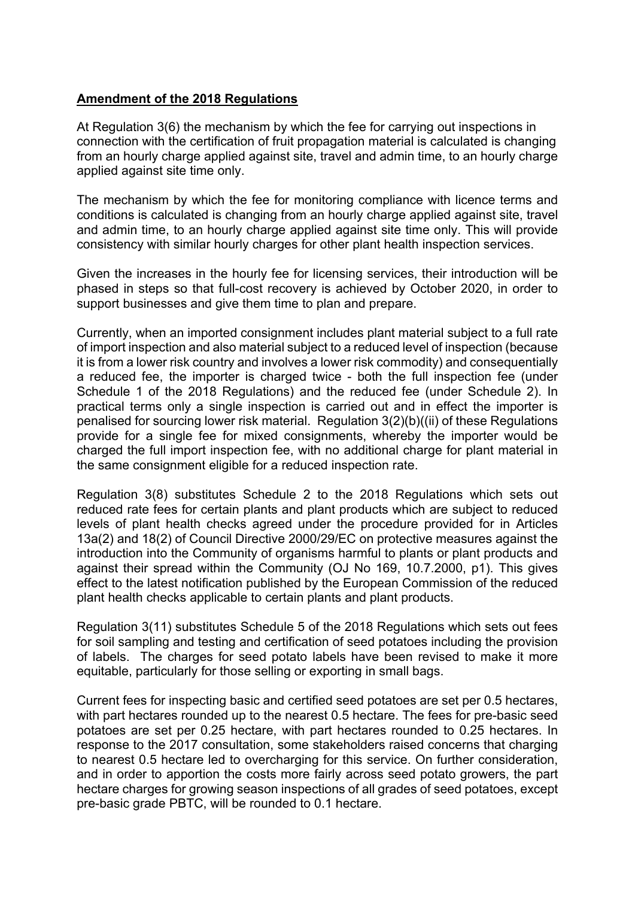### **Amendment of the 2018 Regulations**

At Regulation 3(6) the mechanism by which the fee for carrying out inspections in connection with the certification of fruit propagation material is calculated is changing from an hourly charge applied against site, travel and admin time, to an hourly charge applied against site time only.

The mechanism by which the fee for monitoring compliance with licence terms and conditions is calculated is changing from an hourly charge applied against site, travel and admin time, to an hourly charge applied against site time only. This will provide consistency with similar hourly charges for other plant health inspection services.

Given the increases in the hourly fee for licensing services, their introduction will be phased in steps so that full-cost recovery is achieved by October 2020, in order to support businesses and give them time to plan and prepare.

Currently, when an imported consignment includes plant material subject to a full rate of import inspection and also material subject to a reduced level of inspection (because it is from a lower risk country and involves a lower risk commodity) and consequentially a reduced fee, the importer is charged twice - both the full inspection fee (under Schedule 1 of the 2018 Regulations) and the reduced fee (under Schedule 2). In practical terms only a single inspection is carried out and in effect the importer is penalised for sourcing lower risk material. Regulation 3(2)(b)((ii) of these Regulations provide for a single fee for mixed consignments, whereby the importer would be charged the full import inspection fee, with no additional charge for plant material in the same consignment eligible for a reduced inspection rate.

Regulation 3(8) substitutes Schedule 2 to the 2018 Regulations which sets out reduced rate fees for certain plants and plant products which are subject to reduced levels of plant health checks agreed under the procedure provided for in Articles 13a(2) and 18(2) of Council Directive 2000/29/EC on protective measures against the introduction into the Community of organisms harmful to plants or plant products and against their spread within the Community (OJ No 169, 10.7.2000, p1). This gives effect to the latest notification published by the European Commission of the reduced plant health checks applicable to certain plants and plant products.

Regulation 3(11) substitutes Schedule 5 of the 2018 Regulations which sets out fees for soil sampling and testing and certification of seed potatoes including the provision of labels. The charges for seed potato labels have been revised to make it more equitable, particularly for those selling or exporting in small bags.

Current fees for inspecting basic and certified seed potatoes are set per 0.5 hectares, with part hectares rounded up to the nearest 0.5 hectare. The fees for pre-basic seed potatoes are set per 0.25 hectare, with part hectares rounded to 0.25 hectares. In response to the 2017 consultation, some stakeholders raised concerns that charging to nearest 0.5 hectare led to overcharging for this service. On further consideration, and in order to apportion the costs more fairly across seed potato growers, the part hectare charges for growing season inspections of all grades of seed potatoes, except pre-basic grade PBTC, will be rounded to 0.1 hectare.